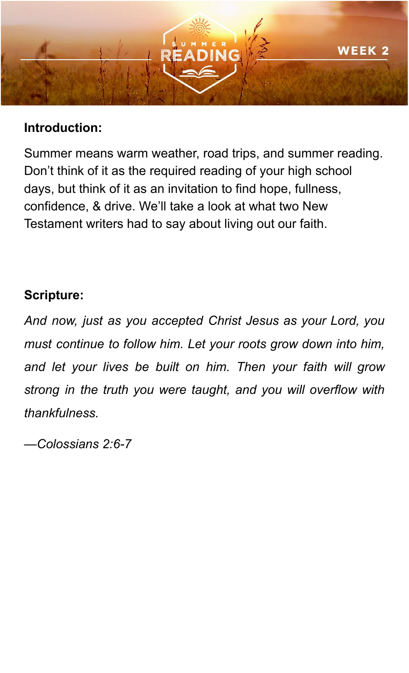

## **Introduction:**

Summer means warm weather, road trips, and summer reading. Don't think of it as the required reading of your high school days, but think of it as an invitation to find hope, fullness, confidence, & drive. We'll take a look at what two New Testament writers had to say about living out our faith.

## **Scripture:**

*And now, just as you accepted Christ Jesus as your Lord, you must continue to follow him. Let your roots grow down into him, and let your lives be built on him. Then your faith will grow strong in the truth you were taught, and you will overflow with thankfulness.*

*—Colossians 2:6-7*